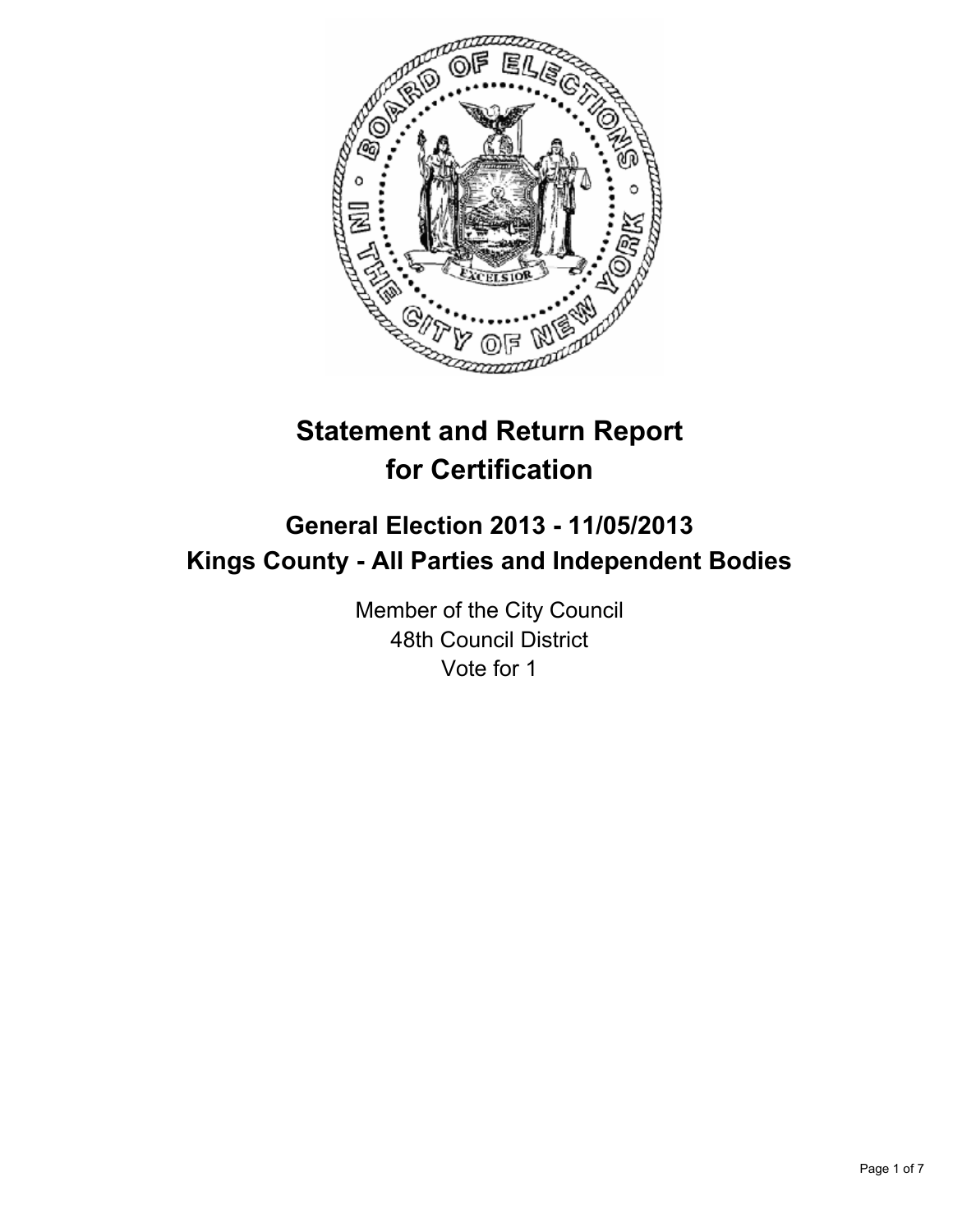

# **Statement and Return Report for Certification**

## **General Election 2013 - 11/05/2013 Kings County - All Parties and Independent Bodies**

Member of the City Council 48th Council District Vote for 1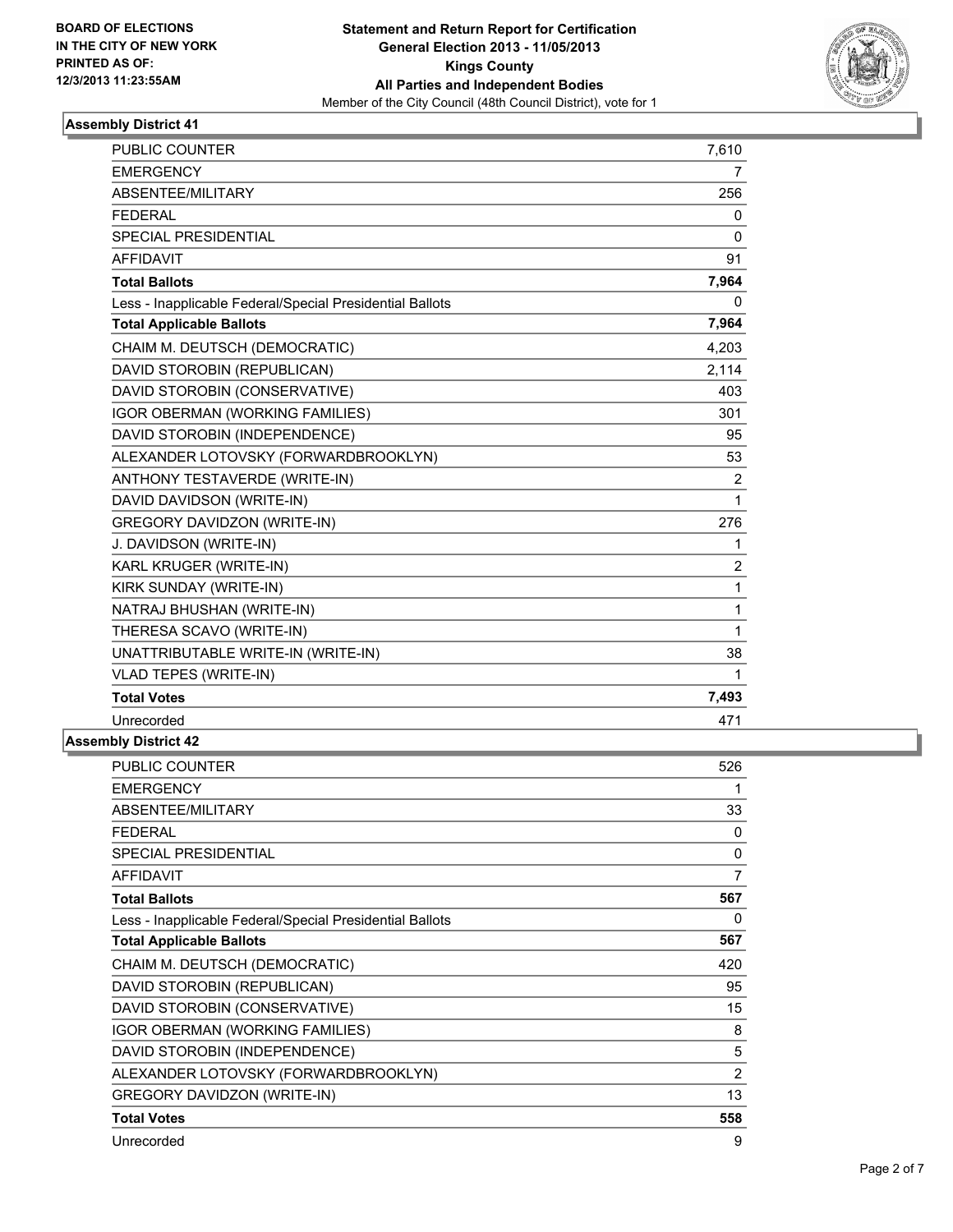

| <b>PUBLIC COUNTER</b>                                    | 7,610          |
|----------------------------------------------------------|----------------|
| <b>EMERGENCY</b>                                         | $\overline{7}$ |
| ABSENTEE/MILITARY                                        | 256            |
| <b>FFDFRAI</b>                                           | $\mathbf{0}$   |
| SPECIAL PRESIDENTIAL                                     | $\Omega$       |
| <b>AFFIDAVIT</b>                                         | 91             |
| <b>Total Ballots</b>                                     | 7,964          |
| Less - Inapplicable Federal/Special Presidential Ballots | 0              |
| <b>Total Applicable Ballots</b>                          | 7,964          |
| CHAIM M. DEUTSCH (DEMOCRATIC)                            | 4,203          |
| DAVID STOROBIN (REPUBLICAN)                              | 2,114          |
| DAVID STOROBIN (CONSERVATIVE)                            | 403            |
| IGOR OBERMAN (WORKING FAMILIES)                          | 301            |
| DAVID STOROBIN (INDEPENDENCE)                            | 95             |
| ALEXANDER LOTOVSKY (FORWARDBROOKLYN)                     | 53             |
| ANTHONY TESTAVERDE (WRITE-IN)                            | $\overline{2}$ |
| DAVID DAVIDSON (WRITE-IN)                                | $\mathbf{1}$   |
| <b>GREGORY DAVIDZON (WRITE-IN)</b>                       | 276            |
| J. DAVIDSON (WRITE-IN)                                   | $\mathbf{1}$   |
| KARL KRUGER (WRITE-IN)                                   | $\overline{2}$ |
| KIRK SUNDAY (WRITE-IN)                                   | 1              |
| NATRAJ BHUSHAN (WRITE-IN)                                | $\mathbf{1}$   |
| THERESA SCAVO (WRITE-IN)                                 | $\mathbf{1}$   |
| UNATTRIBUTABLE WRITE-IN (WRITE-IN)                       | 38             |
| <b>VLAD TEPES (WRITE-IN)</b>                             | 1              |
| <b>Total Votes</b>                                       | 7,493          |
| Unrecorded                                               | 471            |
| <b>Assembly District 42</b>                              |                |
|                                                          |                |

| PUBLIC COUNTER                                           | 526 |
|----------------------------------------------------------|-----|
| <b>EMERGENCY</b>                                         | 1   |
| ABSENTEE/MILITARY                                        | 33  |
| FEDERAL                                                  | 0   |
| SPECIAL PRESIDENTIAL                                     | 0   |
| <b>AFFIDAVIT</b>                                         | 7   |
| <b>Total Ballots</b>                                     | 567 |
| Less - Inapplicable Federal/Special Presidential Ballots | 0   |
| <b>Total Applicable Ballots</b>                          | 567 |
| CHAIM M. DEUTSCH (DEMOCRATIC)                            | 420 |
| DAVID STOROBIN (REPUBLICAN)                              | 95  |
| DAVID STOROBIN (CONSERVATIVE)                            | 15  |
| <b>IGOR OBERMAN (WORKING FAMILIES)</b>                   | 8   |
| DAVID STOROBIN (INDEPENDENCE)                            | 5   |
| ALEXANDER LOTOVSKY (FORWARDBROOKLYN)                     | 2   |
| <b>GREGORY DAVIDZON (WRITE-IN)</b>                       | 13  |
| <b>Total Votes</b>                                       | 558 |
| Unrecorded                                               | 9   |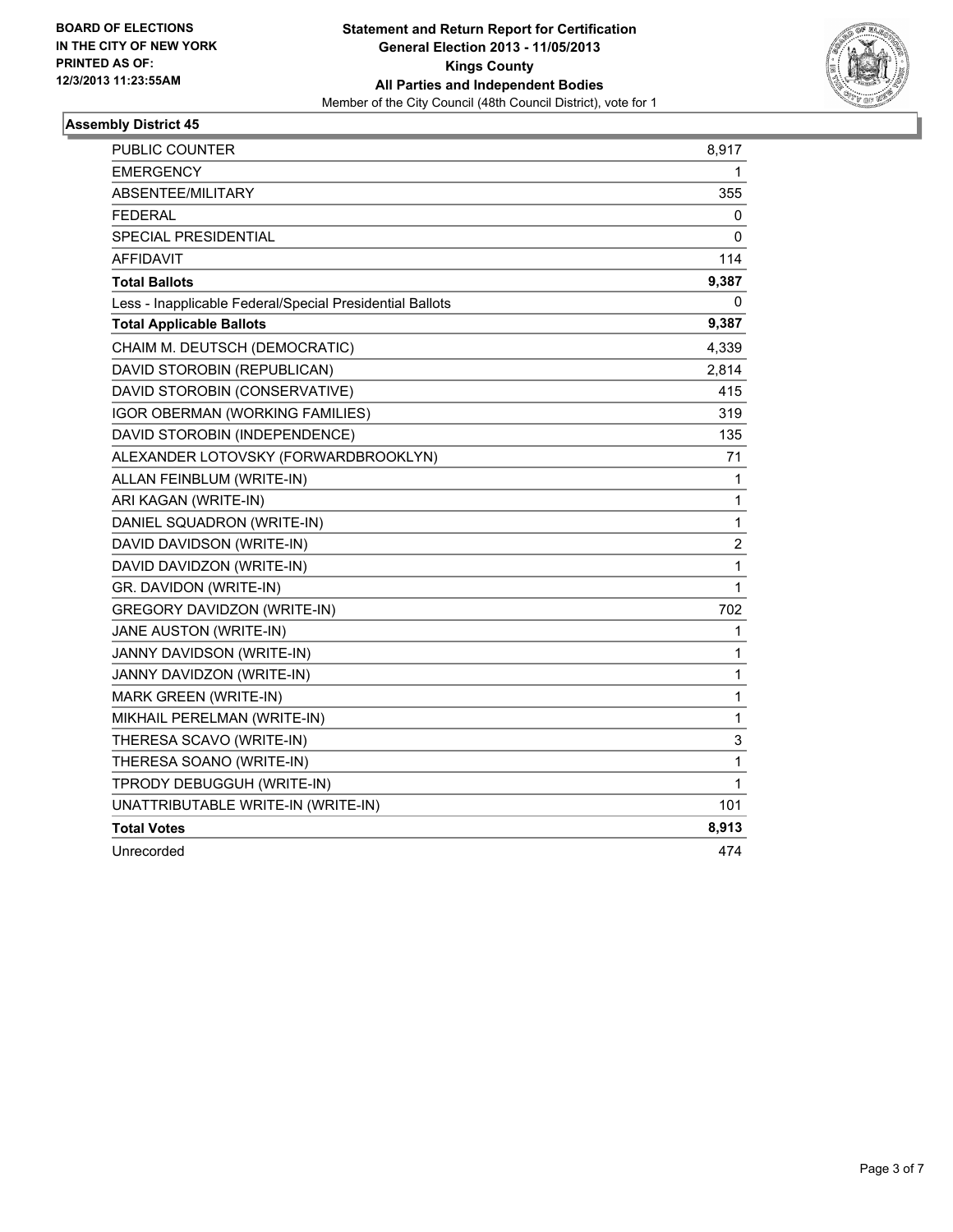

| PUBLIC COUNTER                                           | 8,917        |
|----------------------------------------------------------|--------------|
| <b>EMERGENCY</b>                                         | 1            |
| ABSENTEE/MILITARY                                        | 355          |
| FEDERAL                                                  | 0            |
| SPECIAL PRESIDENTIAL                                     | 0            |
| <b>AFFIDAVIT</b>                                         | 114          |
| <b>Total Ballots</b>                                     | 9,387        |
| Less - Inapplicable Federal/Special Presidential Ballots | 0            |
| <b>Total Applicable Ballots</b>                          | 9,387        |
| CHAIM M. DEUTSCH (DEMOCRATIC)                            | 4,339        |
| DAVID STOROBIN (REPUBLICAN)                              | 2,814        |
| DAVID STOROBIN (CONSERVATIVE)                            | 415          |
| <b>IGOR OBERMAN (WORKING FAMILIES)</b>                   | 319          |
| DAVID STOROBIN (INDEPENDENCE)                            | 135          |
| ALEXANDER LOTOVSKY (FORWARDBROOKLYN)                     | 71           |
| ALLAN FEINBLUM (WRITE-IN)                                | 1            |
| ARI KAGAN (WRITE-IN)                                     | 1            |
| DANIEL SQUADRON (WRITE-IN)                               | $\mathbf{1}$ |
| DAVID DAVIDSON (WRITE-IN)                                | 2            |
| DAVID DAVIDZON (WRITE-IN)                                | 1            |
| GR. DAVIDON (WRITE-IN)                                   | 1            |
| <b>GREGORY DAVIDZON (WRITE-IN)</b>                       | 702          |
| JANE AUSTON (WRITE-IN)                                   | 1            |
| JANNY DAVIDSON (WRITE-IN)                                | 1            |
| JANNY DAVIDZON (WRITE-IN)                                | 1            |
| MARK GREEN (WRITE-IN)                                    | 1            |
| MIKHAIL PERELMAN (WRITE-IN)                              | 1            |
| THERESA SCAVO (WRITE-IN)                                 | 3            |
| THERESA SOANO (WRITE-IN)                                 | 1            |
| TPRODY DEBUGGUH (WRITE-IN)                               | 1            |
| UNATTRIBUTABLE WRITE-IN (WRITE-IN)                       | 101          |
| <b>Total Votes</b>                                       | 8,913        |
| Unrecorded                                               | 474          |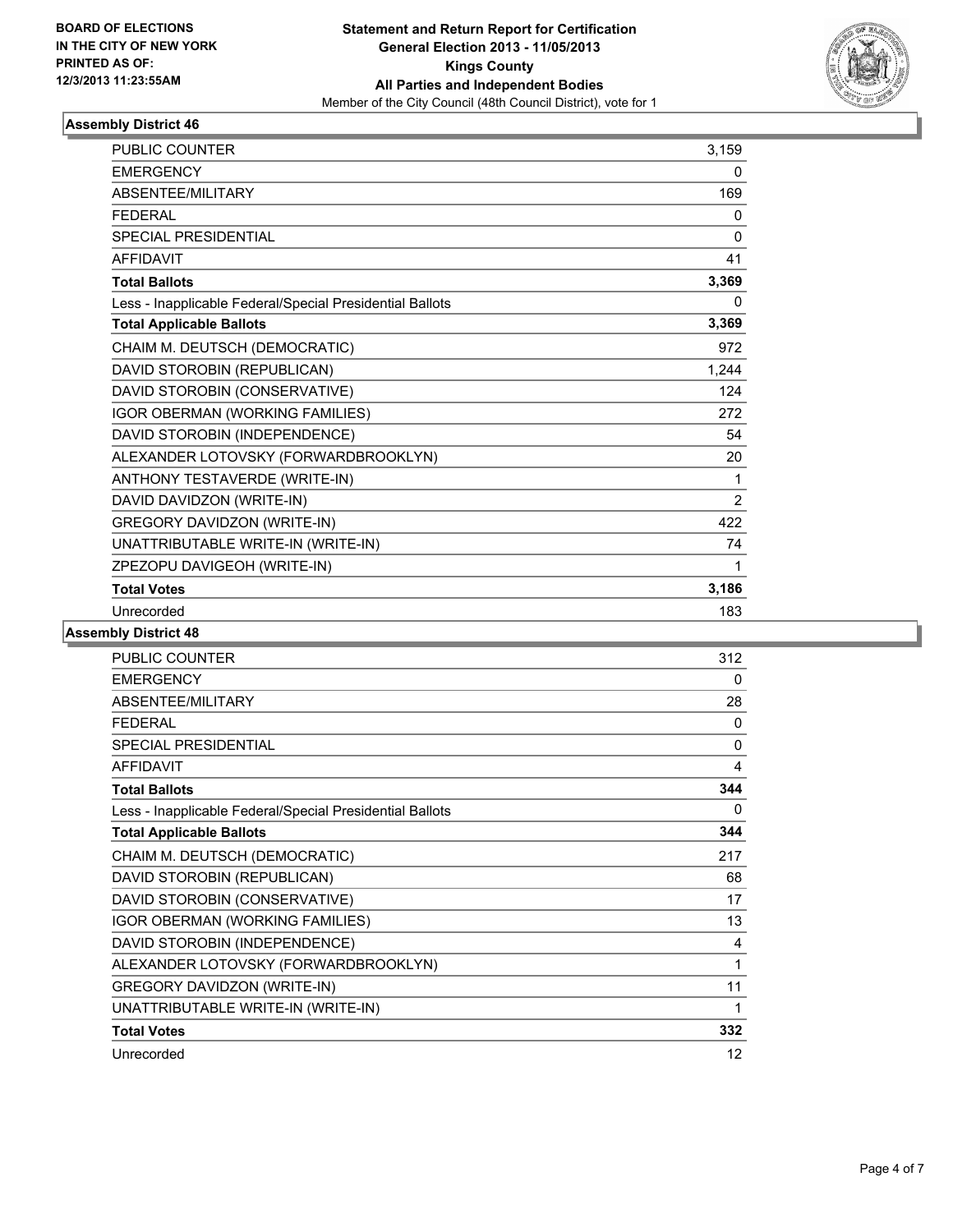

| <b>PUBLIC COUNTER</b>                                    | 3,159          |
|----------------------------------------------------------|----------------|
| <b>EMERGENCY</b>                                         | 0              |
| ABSENTEE/MILITARY                                        | 169            |
| <b>FEDERAL</b>                                           | 0              |
| <b>SPECIAL PRESIDENTIAL</b>                              | $\Omega$       |
| <b>AFFIDAVIT</b>                                         | 41             |
| <b>Total Ballots</b>                                     | 3,369          |
| Less - Inapplicable Federal/Special Presidential Ballots | 0              |
| <b>Total Applicable Ballots</b>                          | 3,369          |
| CHAIM M. DEUTSCH (DEMOCRATIC)                            | 972            |
| DAVID STOROBIN (REPUBLICAN)                              | 1,244          |
| DAVID STOROBIN (CONSERVATIVE)                            | 124            |
| IGOR OBERMAN (WORKING FAMILIES)                          | 272            |
| DAVID STOROBIN (INDEPENDENCE)                            | 54             |
| ALEXANDER LOTOVSKY (FORWARDBROOKLYN)                     | 20             |
| ANTHONY TESTAVERDE (WRITE-IN)                            | 1              |
| DAVID DAVIDZON (WRITE-IN)                                | $\overline{2}$ |
| GREGORY DAVIDZON (WRITE-IN)                              | 422            |
| UNATTRIBUTABLE WRITE-IN (WRITE-IN)                       | 74             |
| ZPEZOPU DAVIGEOH (WRITE-IN)                              | 1              |
| <b>Total Votes</b>                                       | 3,186          |
| Unrecorded                                               | 183            |

| PUBLIC COUNTER                                           | 312          |
|----------------------------------------------------------|--------------|
| <b>EMERGENCY</b>                                         | 0            |
| ABSENTEE/MILITARY                                        | 28           |
| <b>FFDFRAL</b>                                           | 0            |
| <b>SPECIAL PRESIDENTIAL</b>                              | $\mathbf{0}$ |
| <b>AFFIDAVIT</b>                                         | 4            |
| <b>Total Ballots</b>                                     | 344          |
| Less - Inapplicable Federal/Special Presidential Ballots | 0            |
| <b>Total Applicable Ballots</b>                          | 344          |
| CHAIM M. DEUTSCH (DEMOCRATIC)                            | 217          |
| DAVID STOROBIN (REPUBLICAN)                              | 68           |
| DAVID STOROBIN (CONSERVATIVE)                            | 17           |
| IGOR OBERMAN (WORKING FAMILIES)                          | 13           |
| DAVID STOROBIN (INDEPENDENCE)                            | 4            |
| ALEXANDER LOTOVSKY (FORWARDBROOKLYN)                     | 1            |
| <b>GREGORY DAVIDZON (WRITE-IN)</b>                       | 11           |
| UNATTRIBUTABLE WRITE-IN (WRITE-IN)                       | 1            |
| <b>Total Votes</b>                                       | 332          |
| Unrecorded                                               | 12           |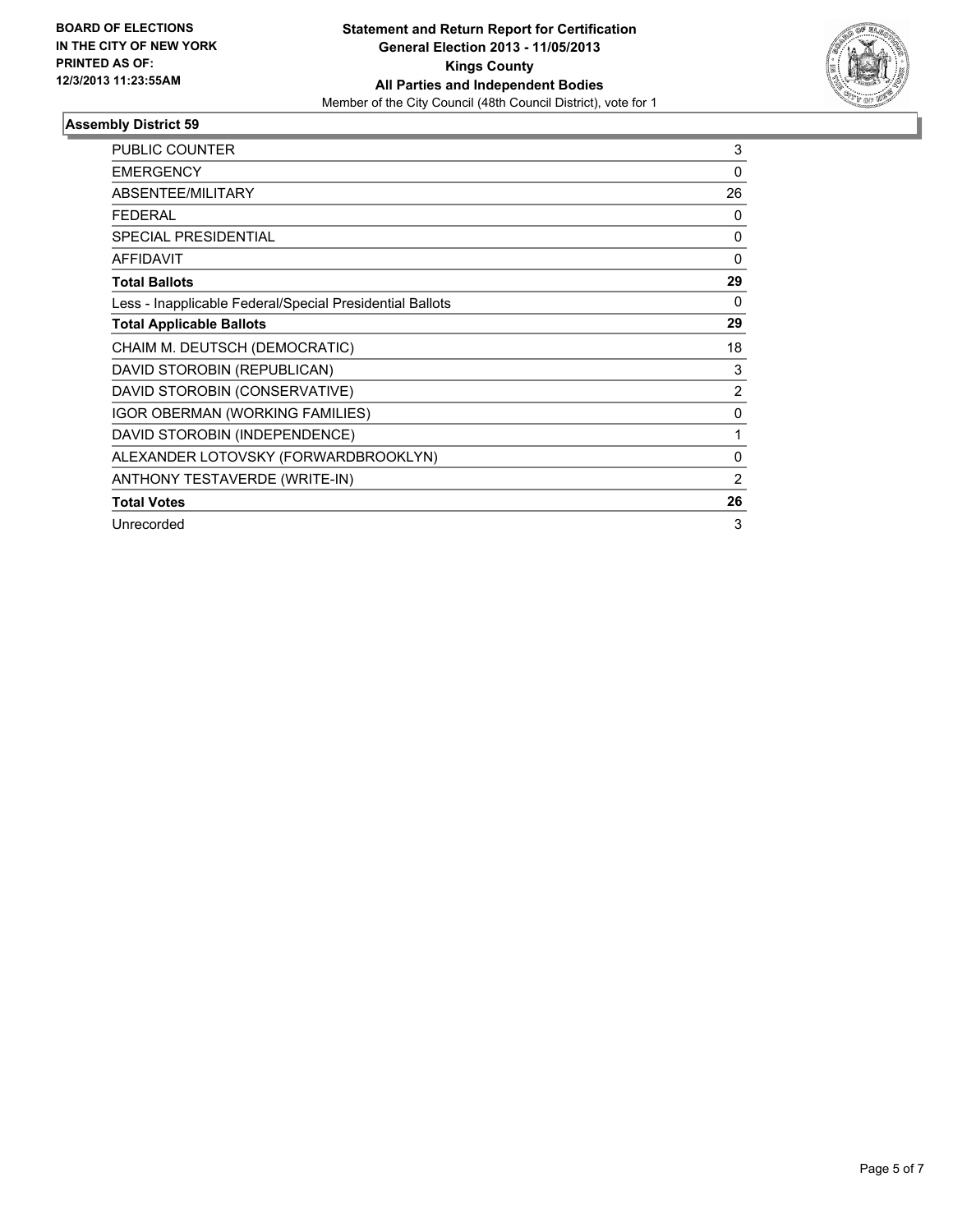

| PUBLIC COUNTER                                           | 3              |
|----------------------------------------------------------|----------------|
| <b>EMERGENCY</b>                                         | 0              |
| <b>ABSENTEE/MILITARY</b>                                 | 26             |
| <b>FEDERAL</b>                                           | 0              |
| <b>SPECIAL PRESIDENTIAL</b>                              | 0              |
| AFFIDAVIT                                                | 0              |
| <b>Total Ballots</b>                                     | 29             |
| Less - Inapplicable Federal/Special Presidential Ballots | $\Omega$       |
| <b>Total Applicable Ballots</b>                          | 29             |
| CHAIM M. DEUTSCH (DEMOCRATIC)                            | 18             |
| DAVID STOROBIN (REPUBLICAN)                              | 3              |
| DAVID STOROBIN (CONSERVATIVE)                            | $\overline{2}$ |
| <b>IGOR OBERMAN (WORKING FAMILIES)</b>                   | $\mathbf{0}$   |
| DAVID STOROBIN (INDEPENDENCE)                            | 1              |
| ALEXANDER LOTOVSKY (FORWARDBROOKLYN)                     | 0              |
| ANTHONY TESTAVERDE (WRITE-IN)                            | 2              |
| <b>Total Votes</b>                                       | 26             |
| Unrecorded                                               | 3              |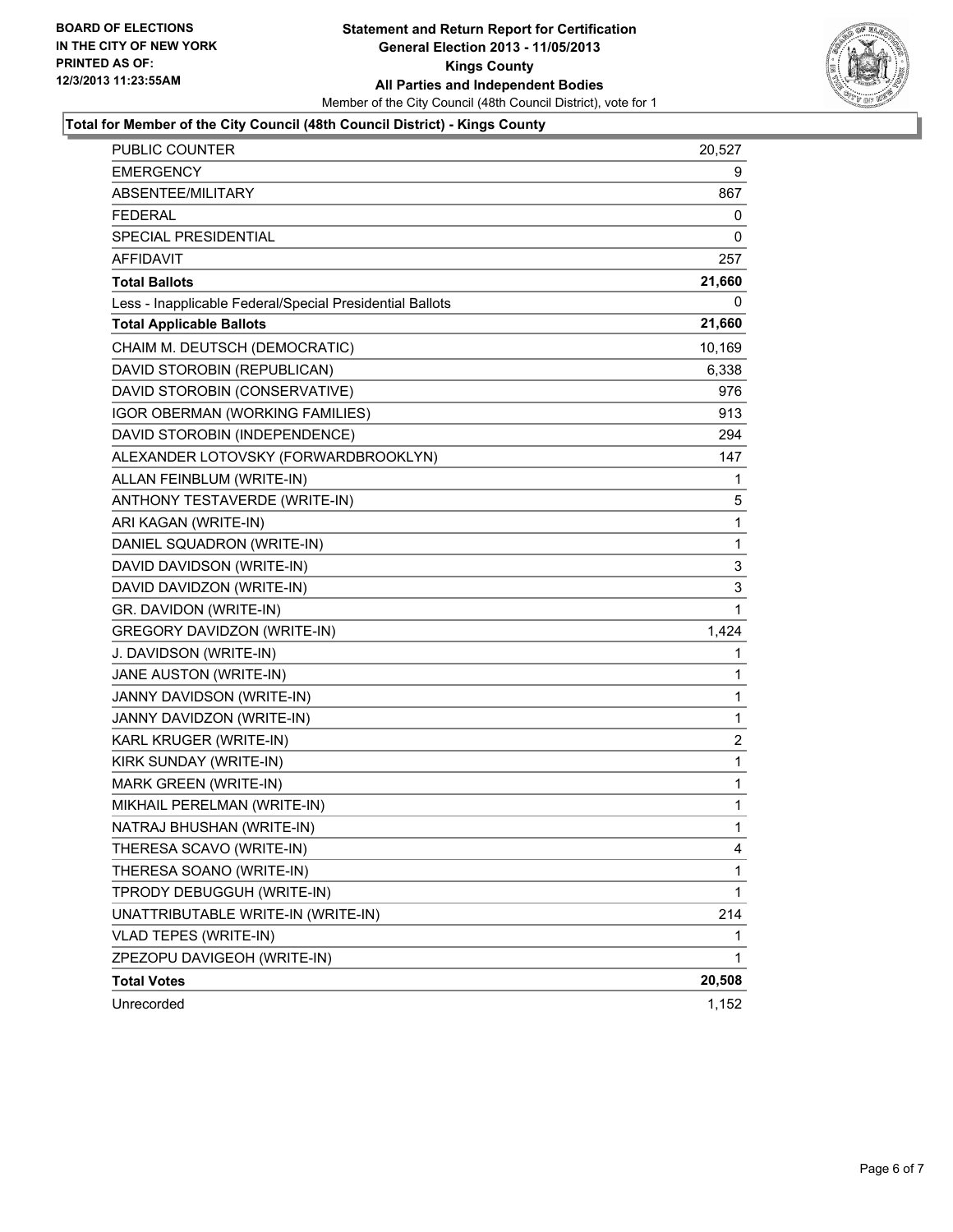

#### **Total for Member of the City Council (48th Council District) - Kings County**

| PUBLIC COUNTER                                           | 20,527       |
|----------------------------------------------------------|--------------|
| <b>EMERGENCY</b>                                         | 9            |
| <b>ABSENTEE/MILITARY</b>                                 | 867          |
| <b>FEDERAL</b>                                           | 0            |
| SPECIAL PRESIDENTIAL                                     | 0            |
| <b>AFFIDAVIT</b>                                         | 257          |
| <b>Total Ballots</b>                                     | 21,660       |
| Less - Inapplicable Federal/Special Presidential Ballots | 0            |
| <b>Total Applicable Ballots</b>                          | 21,660       |
| CHAIM M. DEUTSCH (DEMOCRATIC)                            | 10,169       |
| DAVID STOROBIN (REPUBLICAN)                              | 6,338        |
| DAVID STOROBIN (CONSERVATIVE)                            | 976          |
| IGOR OBERMAN (WORKING FAMILIES)                          | 913          |
| DAVID STOROBIN (INDEPENDENCE)                            | 294          |
| ALEXANDER LOTOVSKY (FORWARDBROOKLYN)                     | 147          |
| ALLAN FEINBLUM (WRITE-IN)                                | 1            |
| ANTHONY TESTAVERDE (WRITE-IN)                            | 5            |
| ARI KAGAN (WRITE-IN)                                     | 1            |
| DANIEL SQUADRON (WRITE-IN)                               | 1            |
| DAVID DAVIDSON (WRITE-IN)                                | 3            |
| DAVID DAVIDZON (WRITE-IN)                                | 3            |
| GR. DAVIDON (WRITE-IN)                                   | 1            |
| GREGORY DAVIDZON (WRITE-IN)                              | 1,424        |
| J. DAVIDSON (WRITE-IN)                                   | 1            |
| JANE AUSTON (WRITE-IN)                                   | 1            |
| JANNY DAVIDSON (WRITE-IN)                                | 1            |
| JANNY DAVIDZON (WRITE-IN)                                | 1            |
| KARL KRUGER (WRITE-IN)                                   | 2            |
| KIRK SUNDAY (WRITE-IN)                                   | 1            |
| <b>MARK GREEN (WRITE-IN)</b>                             | 1            |
| MIKHAIL PERELMAN (WRITE-IN)                              | $\mathbf{1}$ |
| NATRAJ BHUSHAN (WRITE-IN)                                | 1            |
| THERESA SCAVO (WRITE-IN)                                 | 4            |
| THERESA SOANO (WRITE-IN)                                 | 1            |
| TPRODY DEBUGGUH (WRITE-IN)                               | 1            |
| UNATTRIBUTABLE WRITE-IN (WRITE-IN)                       | 214          |
| VLAD TEPES (WRITE-IN)                                    | 1            |
| ZPEZOPU DAVIGEOH (WRITE-IN)                              | 1            |
| <b>Total Votes</b>                                       | 20,508       |
| Unrecorded                                               | 1,152        |